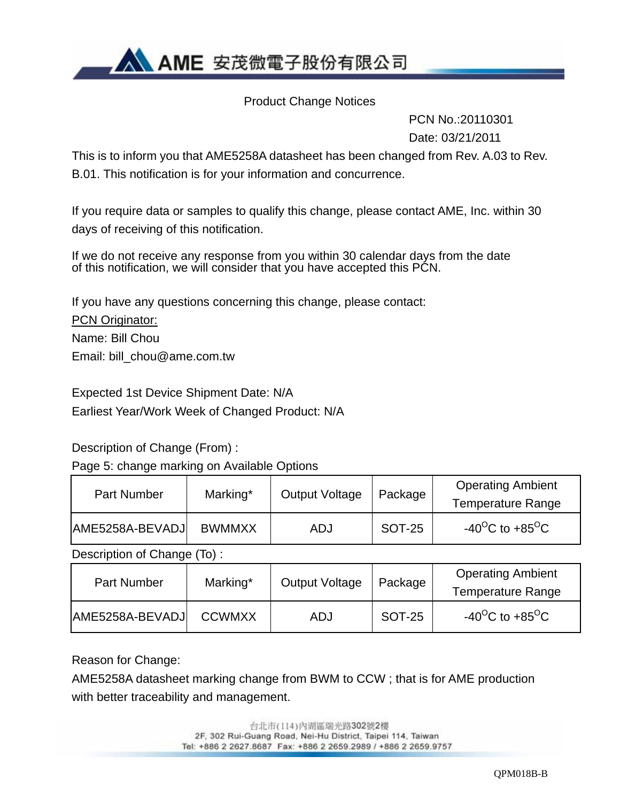**AN AME** 安茂微電子股份有限公司

Product Change Notices

 PCN No.:20110301 Date: 03/21/2011

This is to inform you that AME5258A datasheet has been changed from Rev. A.03 to Rev. B.01. This notification is for your information and concurrence.

If you require data or samples to qualify this change, please contact AME, Inc. within 30 days of receiving of this notification.

If we do not receive any response from you within 30 calendar days from the date of this notification, we will consider that you have accepted this PCN.

If you have any questions concerning this change, please contact:

PCN Originator: Name: Bill Chou Email: bill\_chou@ame.com.tw

Expected 1st Device Shipment Date: N/A Earliest Year/Work Week of Changed Product: N/A

Description of Change (From) :

Page 5: change marking on Available Options

| Part Number     | Marking*      | <b>Output Voltage</b> | Package | <b>Operating Ambient</b><br><b>Temperature Range</b> |
|-----------------|---------------|-----------------------|---------|------------------------------------------------------|
| AME5258A-BEVADJ | <b>BWMMXX</b> | ADJ                   | SOT-25  | $-40^{\circ}$ C to $+85^{\circ}$ C                   |

Description of Change (To) :

| <b>Part Number</b> | Marking*      | <b>Output Voltage</b> | Package | <b>Operating Ambient</b><br><b>Temperature Range</b> |
|--------------------|---------------|-----------------------|---------|------------------------------------------------------|
| AME5258A-BEVADJ    | <b>CCWMXX</b> | ADJ                   | SOT-25  | -40 <sup>o</sup> C to +85 <sup>o</sup> C             |

Reason for Change:

AME5258A datasheet marking change from BWM to CCW ; that is for AME production with better traceability and management.

> 台北市(114) 內湖區瑞光路302號2樓 2F, 302 Rui-Guang Road, Nei-Hu District, Taipei 114, Taiwan Tel: +886 2 2627.8687 Fax: +886 2 2659.2989 / +886 2 2659.9757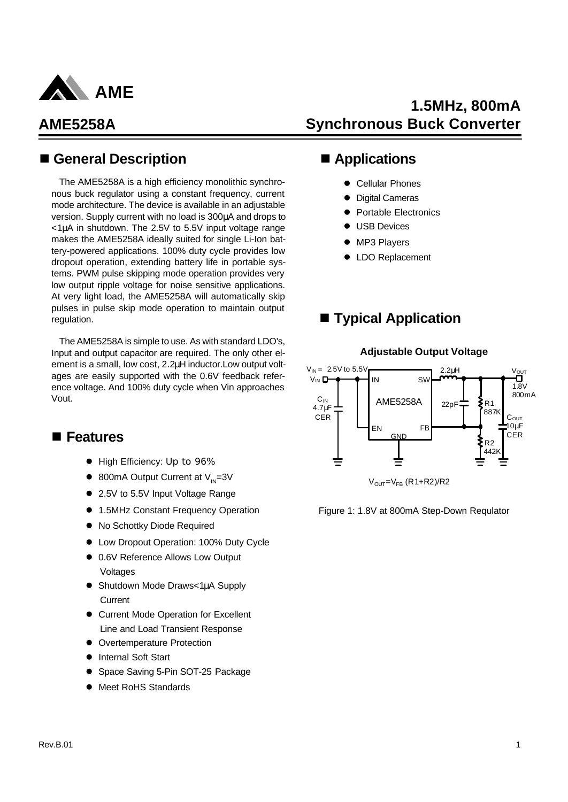

### n **General Description**

The AME5258A is a high efficiency monolithic synchronous buck regulator using a constant frequency, current mode architecture. The device is available in an adjustable version. Supply current with no load is 300μA and drops to  $\langle 1\mu A$  in shutdown. The 2.5V to 5.5V input voltage range makes the AME5258A ideally suited for single Li-Ion battery-powered applications. 100% duty cycle provides low dropout operation, extending battery life in portable systems. PWM pulse skipping mode operation provides very low output ripple voltage for noise sensitive applications. At very light load, the AME5258A will automatically skip pulses in pulse skip mode operation to maintain output regulation.

The AME5258A is simple to use. As with standard LDO's, Input and output capacitor are required. The only other element is a small, low cost, 2.2μH inductor.Low output voltages are easily supported with the 0.6V feedback reference voltage. And 100% duty cycle when Vin approaches Vout.

### n **Features**

- High Efficiency: Up to 96%
- $\bullet$  800mA Output Current at V<sub>IN</sub>=3V
- 2.5V to 5.5V Input Voltage Range
- 1.5MHz Constant Frequency Operation
- $\bullet$  No Schottky Diode Required
- Low Dropout Operation: 100% Duty Cycle
- 0.6V Reference Allows Low Output Voltages
- **· Shutdown Mode Draws<1μA Supply Current**
- **Current Mode Operation for Excellent** Line and Load Transient Response
- Overtemperature Protection
- Internal Soft Start
- Space Saving 5-Pin SOT-25 Package
- Meet RoHS Standards

# **1.5MHz, 800mA Synchronous Buck Converter**

### ■ Applications

- **Cellular Phones**
- Digital Cameras
- Portable Electronics
- **USB Devices**
- MP3 Players
- LDO Replacement

### ■ **Typical Application**



**Adjustable Output Voltage**

 $V<sub>OUT</sub>=V<sub>FB</sub> (R1+R2)/R2$ 

Figure 1: 1.8V at 800mA Step-Down Requlator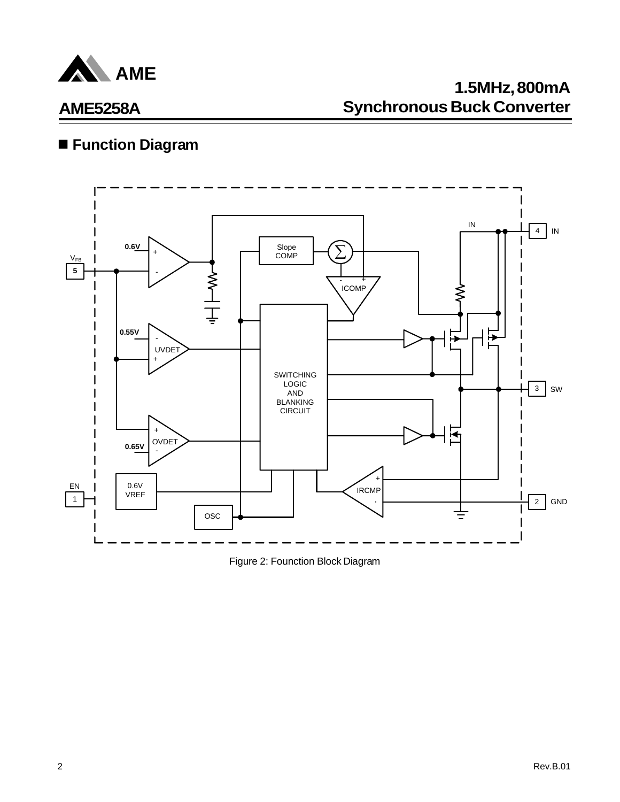

# **Function Diagram**



Figure 2: Founction Block Diagram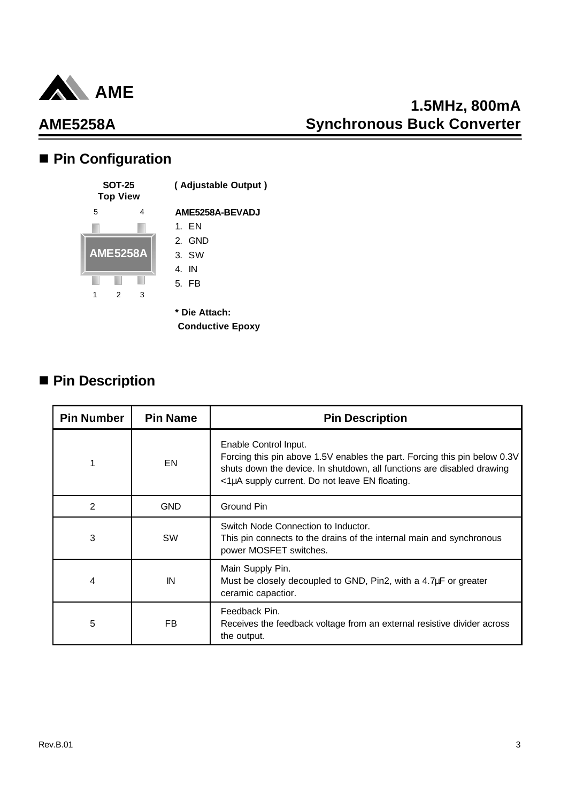

# **1.5MHz, 800mA Synchronous Buck Converter**

# ■ Pin Configuration



 **Conductive Epoxy**

### ■ Pin Description

| <b>Pin Number</b> | <b>Pin Name</b> | <b>Pin Description</b>                                                                                                                                                                                                         |
|-------------------|-----------------|--------------------------------------------------------------------------------------------------------------------------------------------------------------------------------------------------------------------------------|
|                   | EN              | Enable Control Input.<br>Forcing this pin above 1.5V enables the part. Forcing this pin below 0.3V<br>shuts down the device. In shutdown, all functions are disabled drawing<br><1µA supply current. Do not leave EN floating. |
| 2                 | <b>GND</b>      | Ground Pin                                                                                                                                                                                                                     |
| 3                 | SW              | Switch Node Connection to Inductor.<br>This pin connects to the drains of the internal main and synchronous<br>power MOSFET switches.                                                                                          |
| 4                 | IN              | Main Supply Pin.<br>Must be closely decoupled to GND, Pin2, with a 4.7µF or greater<br>ceramic capactior.                                                                                                                      |
| 5                 | FB              | Feedback Pin.<br>Receives the feedback voltage from an external resistive divider across<br>the output.                                                                                                                        |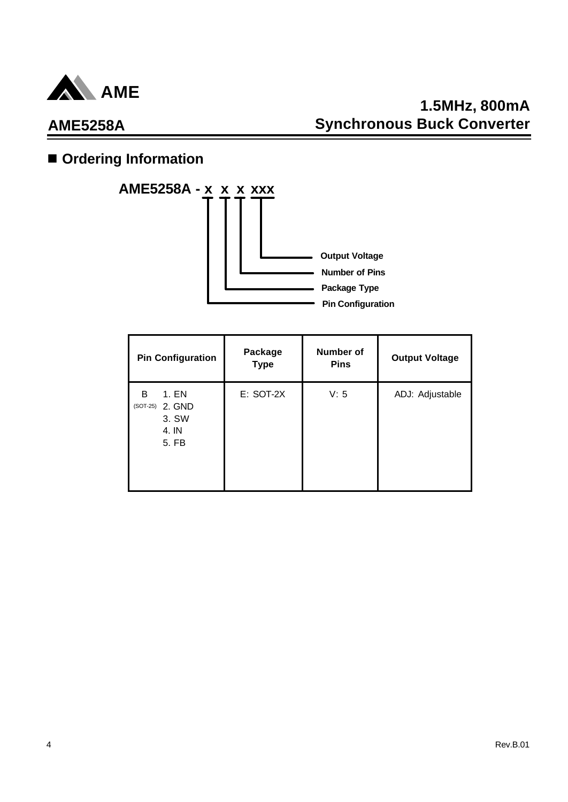

# **1.5MHz, 800mA Synchronous Buck Converter**

# **n** Ordering Information



| <b>Pin Configuration</b>                                      | Package<br><b>Type</b> | <b>Number of</b><br><b>Pins</b> | <b>Output Voltage</b> |
|---------------------------------------------------------------|------------------------|---------------------------------|-----------------------|
| 1. EN<br>B<br>2. GND<br>$(SOT-25)$<br>3. SW<br>4. IN<br>5. FB | $E:$ SOT-2X            | V: 5                            | ADJ: Adjustable       |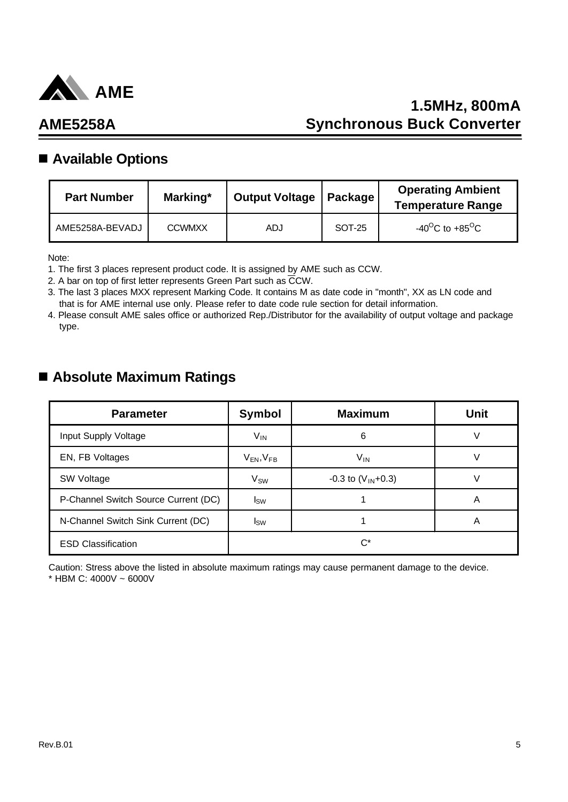

# **1.5MHz, 800mA Synchronous Buck Converter**

# **AME5258A**

### ■ Available Options

| <b>Part Number</b> | Marking*      | Output Voltage   Package |        | <b>Operating Ambient</b><br><b>Temperature Range</b> |
|--------------------|---------------|--------------------------|--------|------------------------------------------------------|
| AME5258A-BEVADJ    | <b>CCWMXX</b> | ADJ                      | SOT-25 | -40 <sup>o</sup> C to +85 <sup>o</sup> C             |

Note:

1. The first 3 places represent product code. It is assigned by AME such as CCW.

2. A bar on top of first letter represents Green Part such as CCW.

3. The last 3 places MXX represent Marking Code. It contains M as date code in "month", XX as LN code and that is for AME internal use only. Please refer to date code rule section for detail information.

4. Please consult AME sales office or authorized Rep./Distributor for the availability of output voltage and package type.

### n **Absolute Maximum Ratings**

| <b>Parameter</b>                     | <b>Symbol</b>       | <b>Maximum</b>           | Unit |  |  |
|--------------------------------------|---------------------|--------------------------|------|--|--|
| Input Supply Voltage                 | $V_{IN}$            | 6                        |      |  |  |
| EN, FB Voltages                      | $V_{EN}$ , $V_{FB}$ | V <sub>IN</sub>          |      |  |  |
| SW Voltage                           | V <sub>SW</sub>     | $-0.3$ to $(V_{IN}+0.3)$ |      |  |  |
| P-Channel Switch Source Current (DC) | $I_{SW}$            |                          | A    |  |  |
| N-Channel Switch Sink Current (DC)   | $I_{SW}$            |                          | A    |  |  |
| <b>ESD Classification</b>            | $C^*$               |                          |      |  |  |

Caution: Stress above the listed in absolute maximum ratings may cause permanent damage to the device. \* HBM C: 4000V ~ 6000V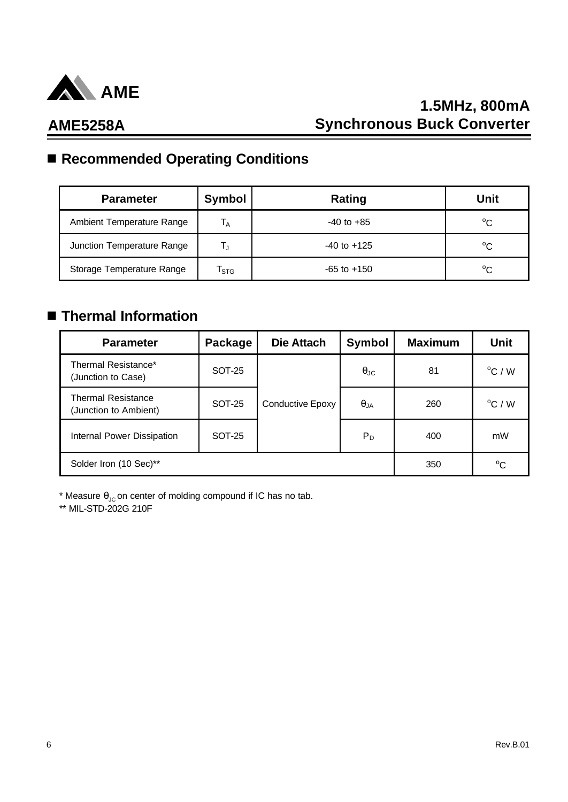

# ■ Recommended Operating Conditions

| <b>Parameter</b>           | Symbol                    | Rating          | Unit        |
|----------------------------|---------------------------|-----------------|-------------|
| Ambient Temperature Range  | $\mathsf{T}_\mathsf{A}$   | $-40$ to $+85$  | $^{\circ}C$ |
| Junction Temperature Range | TJ                        | $-40$ to $+125$ | $^{\circ}C$ |
| Storage Temperature Range  | $\mathsf{T}_{\text{STG}}$ | $-65$ to $+150$ | $^{\circ}C$ |

# n **Thermal Information**

| <b>Parameter</b>                                   | Package       | Die Attach       | <b>Symbol</b>        | <b>Maximum</b> | <b>Unit</b>      |
|----------------------------------------------------|---------------|------------------|----------------------|----------------|------------------|
| Thermal Resistance*<br>(Junction to Case)          | <b>SOT-25</b> |                  | $\theta_{\text{JC}}$ | 81             | $^{\circ}$ C / W |
| <b>Thermal Resistance</b><br>(Junction to Ambient) | <b>SOT-25</b> | Conductive Epoxy | $\theta_{JA}$        | 260            | $^{\circ}$ C / W |
| Internal Power Dissipation                         | <b>SOT-25</b> |                  | $P_D$                | 400            | mW               |
| Solder Iron (10 Sec)**                             |               | 350              | $^{\circ}C$          |                |                  |

\* Measure  $\theta_{\text{JC}}$  on center of molding compound if IC has no tab.

\*\* MIL-STD-202G 210F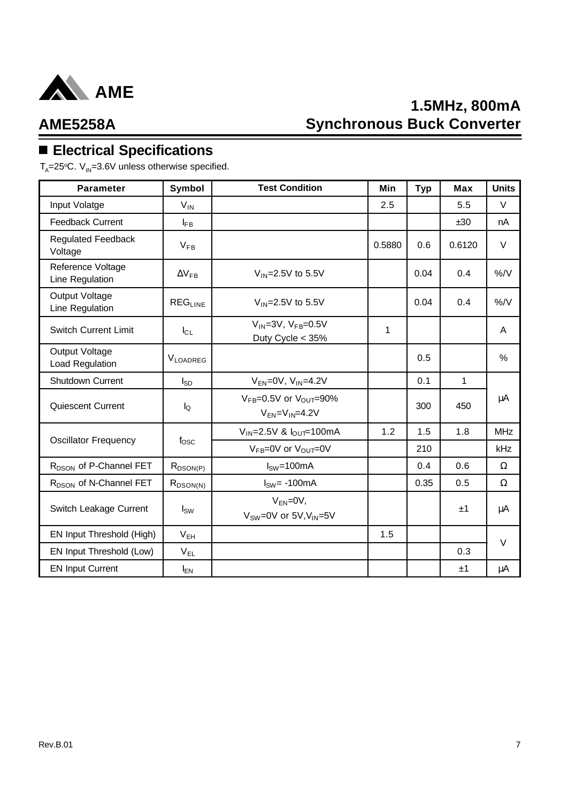

# **1.5MHz, 800mA Synchronous Buck Converter**

### **AME5258A**

# n **Electrical Specifications**

 $\mathsf{T}_{\mathsf{A}}$ =25°C. V<sub>IN</sub>=3.6V unless otherwise specified.

| <b>Parameter</b>                     | Symbol           | <b>Test Condition</b>                                       | Min    | <b>Typ</b> | <b>Max</b>   | <b>Units</b> |
|--------------------------------------|------------------|-------------------------------------------------------------|--------|------------|--------------|--------------|
| Input Volatge                        | $V_{IN}$         |                                                             | 2.5    |            | 5.5          | $\vee$       |
| Feedback Current                     | $I_{FB}$         |                                                             |        |            | ±30          | nA           |
| <b>Regulated Feedback</b><br>Voltage | $V_{FB}$         |                                                             | 0.5880 | 0.6        | 0.6120       | V            |
| Reference Voltage<br>Line Regulation | $\Delta V_{FB}$  | $V_{IN}$ =2.5V to 5.5V                                      |        | 0.04       | 0.4          | $\%$ /V      |
| Output Voltage<br>Line Regulation    | $REG_{LINE}$     | $V_{IN}$ =2.5V to 5.5V                                      |        | 0.04       | 0.4          | $\%$ /V      |
| <b>Switch Current Limit</b>          | $I_{CL}$         | $V_{IN} = 3V$ , $V_{FB} = 0.5V$<br>Duty Cycle < 35%         | 1      |            |              | A            |
| Output Voltage<br>Load Regulation    | <b>VLOADREG</b>  |                                                             |        | 0.5        |              | $\%$         |
| Shutdown Current                     | $I_{SD}$         | $V_{EN}$ =0V, $V_{IN}$ =4.2V                                |        | 0.1        | $\mathbf{1}$ |              |
| Quiescent Current                    | $I_{\mathsf{Q}}$ | $V_{FB}=0.5V$ or $V_{OUT}=90\%$<br>$V_{FN} = V_{IN} = 4.2V$ |        | 300        | 450          | $\mu A$      |
|                                      |                  | $V_{IN} = 2.5V$ & $I_{OUT} = 100mA$                         | 1.2    | 1.5        | 1.8          | <b>MHz</b>   |
| <b>Oscillator Frequency</b>          | $f_{\rm OSC}$    | $V_{FB} = 0V$ or $V_{OUT} = 0V$                             |        | 210        |              | kHz          |
| R <sub>DSON</sub> of P-Channel FET   | $R_{DSON(P)}$    | $ISW=100mA$                                                 |        | 0.4        | 0.6          | $\Omega$     |
| R <sub>DSON</sub> of N-Channel FET   | $R_{DSON(N)}$    | $ISW= -100mA$                                               |        | 0.35       | 0.5          | $\Omega$     |
| Switch Leakage Current               | $I_{SW}$         | $V_{EN} = 0V$ ,<br>$V_{SW} = 0V$ or $5V$ , $V_{IN} = 5V$    |        |            | ±1           | μA           |
| EN Input Threshold (High)            | V <sub>EH</sub>  |                                                             | 1.5    |            |              | $\vee$       |
| EN Input Threshold (Low)             | V <sub>EL</sub>  |                                                             |        |            | 0.3          |              |
| <b>EN Input Current</b>              | $I_{EN}$         |                                                             |        |            | ±1           | μA           |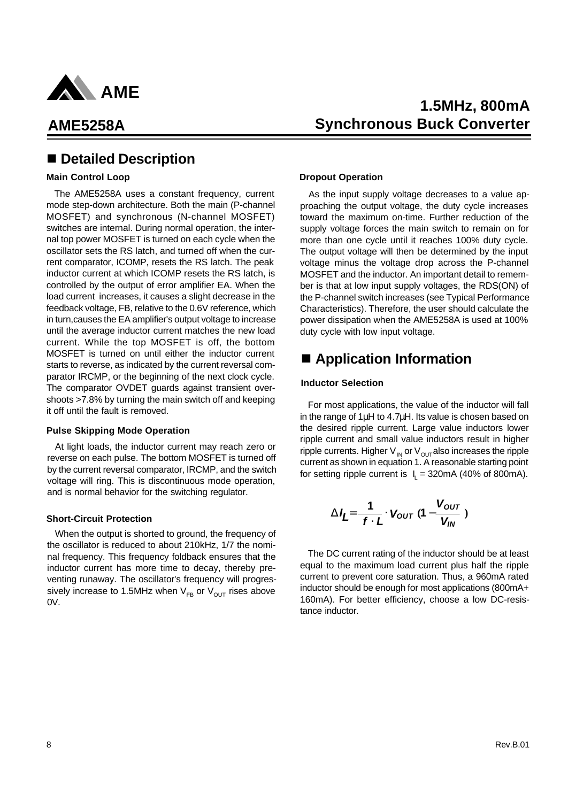

### n **Detailed Description**

#### **Main Control Loop**

The AME5258A uses a constant frequency, current mode step-down architecture. Both the main (P-channel MOSFET) and synchronous (N-channel MOSFET) switches are internal. During normal operation, the internal top power MOSFET is turned on each cycle when the oscillator sets the RS latch, and turned off when the current comparator, ICOMP, resets the RS latch. The peak inductor current at which ICOMP resets the RS latch, is controlled by the output of error amplifier EA. When the load current increases, it causes a slight decrease in the feedback voltage, FB, relative to the 0.6V reference, which in turn,causes the EA amplifier's output voltage to increase until the average inductor current matches the new load current. While the top MOSFET is off, the bottom MOSFET is turned on until either the inductor current starts to reverse, as indicated by the current reversal comparator IRCMP, or the beginning of the next clock cycle. The comparator OVDET guards against transient overshoots >7.8% by turning the main switch off and keeping it off until the fault is removed.

#### **Pulse Skipping Mode Operation**

At light loads, the inductor current may reach zero or reverse on each pulse. The bottom MOSFET is turned off by the current reversal comparator, IRCMP, and the switch voltage will ring. This is discontinuous mode operation, and is normal behavior for the switching regulator.

#### **Short-Circuit Protection**

When the output is shorted to ground, the frequency of the oscillator is reduced to about 210kHz, 1/7 the nominal frequency. This frequency foldback ensures that the inductor current has more time to decay, thereby preventing runaway. The oscillator's frequency will progressively increase to 1.5MHz when  $V_{FB}$  or  $V_{OUT}$  rises above 0V.

### **1.5MHz, 800mA Synchronous Buck Converter**

#### **Dropout Operation**

As the input supply voltage decreases to a value approaching the output voltage, the duty cycle increases toward the maximum on-time. Further reduction of the supply voltage forces the main switch to remain on for more than one cycle until it reaches 100% duty cycle. The output voltage will then be determined by the input voltage minus the voltage drop across the P-channel MOSFET and the inductor. An important detail to remember is that at low input supply voltages, the RDS(ON) of the P-channel switch increases (see Typical Performance Characteristics). Therefore, the user should calculate the power dissipation when the AME5258A is used at 100% duty cycle with low input voltage.

### ■ Application Information

#### **Inductor Selection**

For most applications, the value of the inductor will fall in the range of 1μH to 4.7μH. Its value is chosen based on the desired ripple current. Large value inductors lower ripple current and small value inductors result in higher ripple currents. Higher  $V_{IN}$  or  $V_{OUT}$  also increases the ripple current as shown in equation 1. A reasonable starting point for setting ripple current is  $I_L = 320$ mA (40% of 800mA).

$$
\mathbf{D}I_L = \frac{1}{f \times L} \times V_{OUT} (1 - \frac{V_{OUT}}{V_{IN}})
$$

The DC current rating of the inductor should be at least equal to the maximum load current plus half the ripple current to prevent core saturation. Thus, a 960mA rated inductor should be enough for most applications (800mA+ 160mA). For better efficiency, choose a low DC-resistance inductor.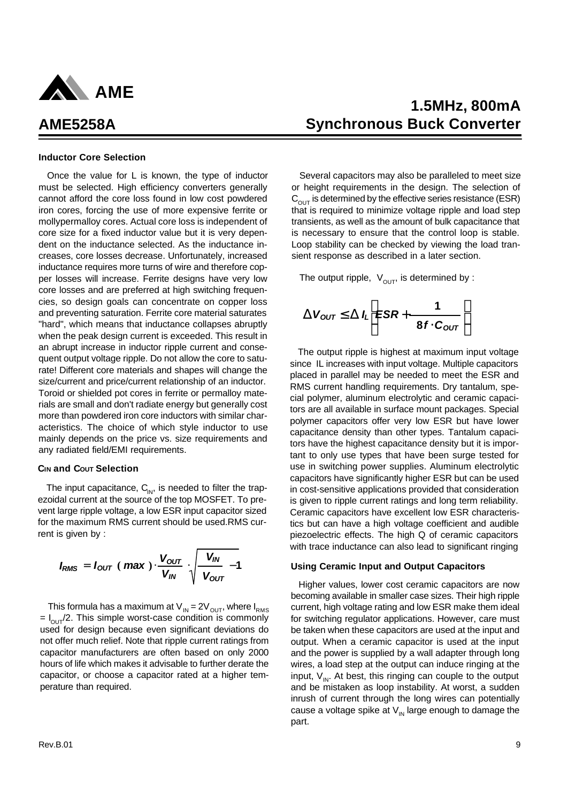

#### **Inductor Core Selection**

Once the value for L is known, the type of inductor must be selected. High efficiency converters generally cannot afford the core loss found in low cost powdered iron cores, forcing the use of more expensive ferrite or mollypermalloy cores. Actual core loss is independent of core size for a fixed inductor value but it is very dependent on the inductance selected. As the inductance increases, core losses decrease. Unfortunately, increased inductance requires more turns of wire and therefore copper losses will increase. Ferrite designs have very low core losses and are preferred at high switching frequencies, so design goals can concentrate on copper loss and preventing saturation. Ferrite core material saturates "hard", which means that inductance collapses abruptly when the peak design current is exceeded. This result in an abrupt increase in inductor ripple current and consequent output voltage ripple. Do not allow the core to saturate! Different core materials and shapes will change the size/current and price/current relationship of an inductor. Toroid or shielded pot cores in ferrite or permalloy materials are small and don't radiate energy but generally cost more than powdered iron core inductors with similar characteristics. The choice of which style inductor to use mainly depends on the price vs. size requirements and any radiated field/EMI requirements.

#### **CIN and COUT Selection**

The input capacitance,  $C_{\text{IN}}$ , is needed to filter the trapezoidal current at the source of the top MOSFET. To prevent large ripple voltage, a low ESR input capacitor sized for the maximum RMS current should be used.RMS current is given by :

$$
I_{RMS} = I_{OUT} (max) \times \frac{V_{OUT}}{V_{IN}} \times \frac{V_{IN}}{V_{OUT}} - 1
$$

This formula has a maximum at  $V_{IN} = 2V_{OUT}$ , where  $I_{RMS}$  $= I_{\text{OUT}}/2$ . This simple worst-case condition is commonly used for design because even significant deviations do not offer much relief. Note that ripple current ratings from capacitor manufacturers are often based on only 2000 hours of life which makes it advisable to further derate the capacitor, or choose a capacitor rated at a higher temperature than required.

### **1.5MHz, 800mA Synchronous Buck Converter**

Several capacitors may also be paralleled to meet size or height requirements in the design. The selection of  $C<sub>OUT</sub>$  is determined by the effective series resistance (ESR) that is required to minimize voltage ripple and load step transients, as well as the amount of bulk capacitance that is necessary to ensure that the control loop is stable. Loop stability can be checked by viewing the load transient response as described in a later section.

The output ripple,  $V_{\text{OUT}}$ , is determined by :

$$
\mathbf{D} V_{OUT} \mathbf{\pounds} \mathbf{D} l_L \mathbf{\stackrel{6}{\mathbf{E}}} \mathbf{S} R + \frac{1}{8f \times C_{OUT}} \mathbf{\hat{u}} \\ \mathbf{\stackrel{7}{\mathbf{E}}}
$$

The output ripple is highest at maximum input voltage since IL increases with input voltage. Multiple capacitors placed in parallel may be needed to meet the ESR and RMS current handling requirements. Dry tantalum, special polymer, aluminum electrolytic and ceramic capacitors are all available in surface mount packages. Special polymer capacitors offer very low ESR but have lower capacitance density than other types. Tantalum capacitors have the highest capacitance density but it is important to only use types that have been surge tested for use in switching power supplies. Aluminum electrolytic capacitors have significantly higher ESR but can be used in cost-sensitive applications provided that consideration is given to ripple current ratings and long term reliability. Ceramic capacitors have excellent low ESR characteristics but can have a high voltage coefficient and audible piezoelectric effects. The high Q of ceramic capacitors with trace inductance can also lead to significant ringing

#### **Using Ceramic Input and Output Capacitors**

Higher values, lower cost ceramic capacitors are now becoming available in smaller case sizes. Their high ripple current, high voltage rating and low ESR make them ideal for switching regulator applications. However, care must be taken when these capacitors are used at the input and output. When a ceramic capacitor is used at the input and the power is supplied by a wall adapter through long wires, a load step at the output can induce ringing at the input,  $V_{\text{in}}$ . At best, this ringing can couple to the output and be mistaken as loop instability. At worst, a sudden inrush of current through the long wires can potentially cause a voltage spike at  $V_{\text{IN}}$  large enough to damage the part.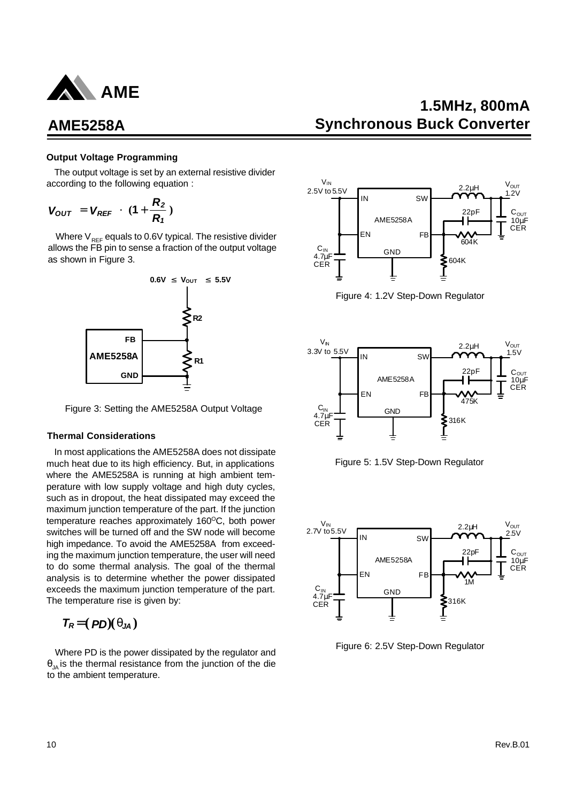

#### **Output Voltage Programming**

The output voltage is set by an external resistive divider according to the following equation :

$$
V_{OUT} = V_{REF} \times (1 + \frac{R_2}{R_1})
$$

Where  $V_{REF}$  equals to 0.6V typical. The resistive divider allows the FB pin to sense a fraction of the output voltage as shown in Figure 3.



Figure 3: Setting the AME5258A Output Voltage

#### **Thermal Considerations**

In most applications the AME5258A does not dissipate much heat due to its high efficiency. But, in applications where the AME5258A is running at high ambient temperature with low supply voltage and high duty cycles, such as in dropout, the heat dissipated may exceed the maximum junction temperature of the part. If the junction temperature reaches approximately  $160^{\circ}$ C, both power switches will be turned off and the SW node will become high impedance. To avoid the AME5258A from exceeding the maximum junction temperature, the user will need to do some thermal analysis. The goal of the thermal analysis is to determine whether the power dissipated exceeds the maximum junction temperature of the part. The temperature rise is given by:

$$
T_R = (PD)(q_{JA})
$$

Where PD is the power dissipated by the regulator and  $\theta_{1A}$  is the thermal resistance from the junction of the die to the ambient temperature.

### **1.5MHz, 800mA Synchronous Buck Converter**



Figure 4: 1.2V Step-Down Regulator



Figure 5: 1.5V Step-Down Regulator



Figure 6: 2.5V Step-Down Regulator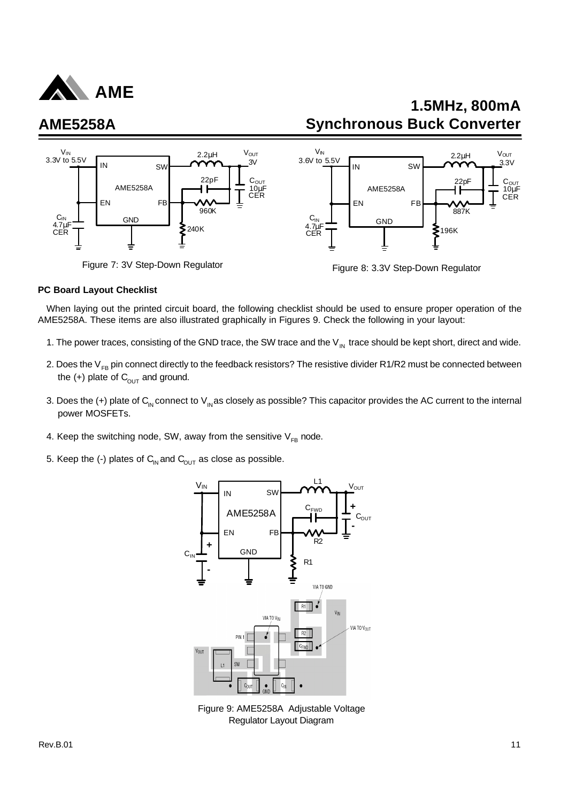

# **1.5MHz, 800mA Synchronous Buck Converter**



#### **PC Board Layout Checklist**

When laying out the printed circuit board, the following checklist should be used to ensure proper operation of the AME5258A. These items are also illustrated graphically in Figures 9. Check the following in your layout:

- 1. The power traces, consisting of the GND trace, the SW trace and the  $V_{\text{IN}}$  trace should be kept short, direct and wide.
- 2. Does the  $V_{FB}$  pin connect directly to the feedback resistors? The resistive divider R1/R2 must be connected between the  $(+)$  plate of  $C_{\text{OUT}}$  and ground.
- 3. Does the (+) plate of  $C_{IN}$  connect to  $V_{IN}$  as closely as possible? This capacitor provides the AC current to the internal power MOSFETs.
- 4. Keep the switching node, SW, away from the sensitive  $V_{FB}$  node.
- 5. Keep the (-) plates of  $C_{\text{IN}}$  and  $C_{\text{OUT}}$  as close as possible.



Figure 9: AME5258A Adjustable Voltage Regulator Layout Diagram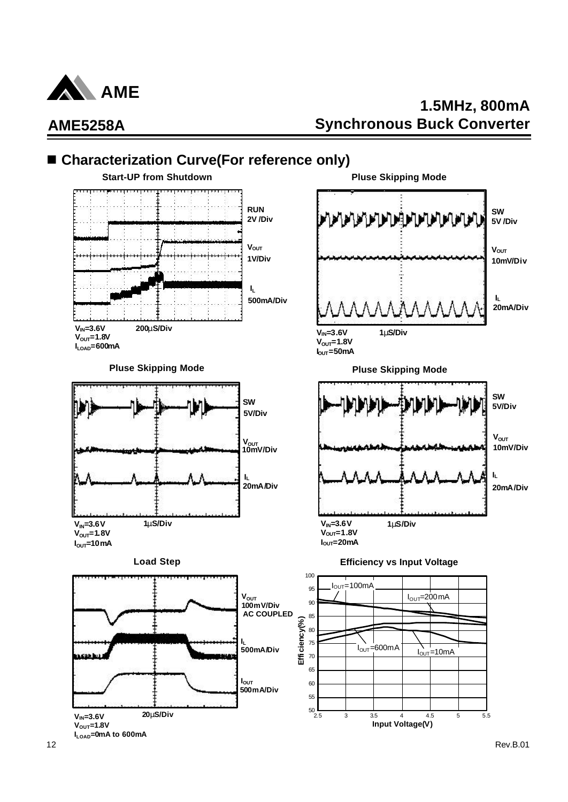

# **1.5MHz, 800mA Synchronous Buck Converter**

# ■ Characterization Curve(For reference only)

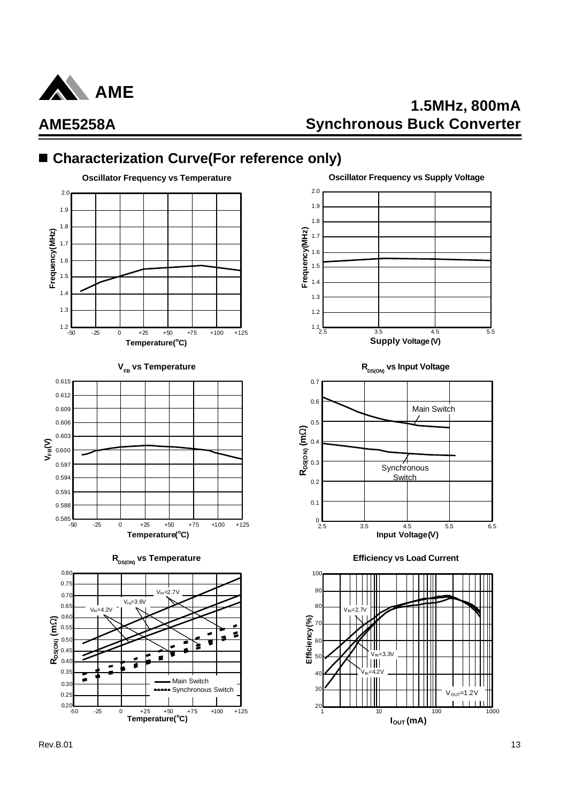

# **1.5MHz, 800mA Synchronous Buck Converter**

### ■ Characterization Curve(For reference only)







**I**<sub>OUT</sub> (mA)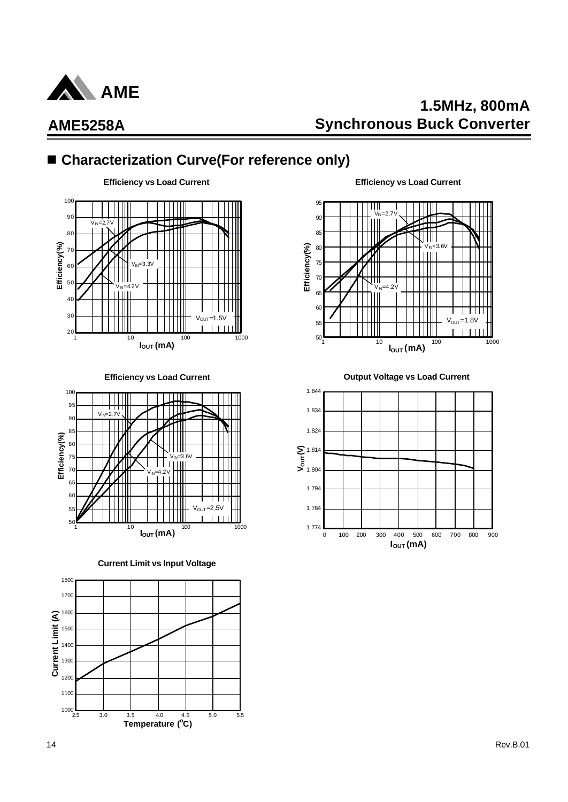

100

# **1.5MHz, 800mA Synchronous Buck Converter**

### ■ Characterization Curve(For reference only)

**Efficiency vs Load Current**





**Current Limit vs Input Voltage**



**Efficiency vs Load Current**



**Efficiency vs Load Current Output Voltage vs Load Current**

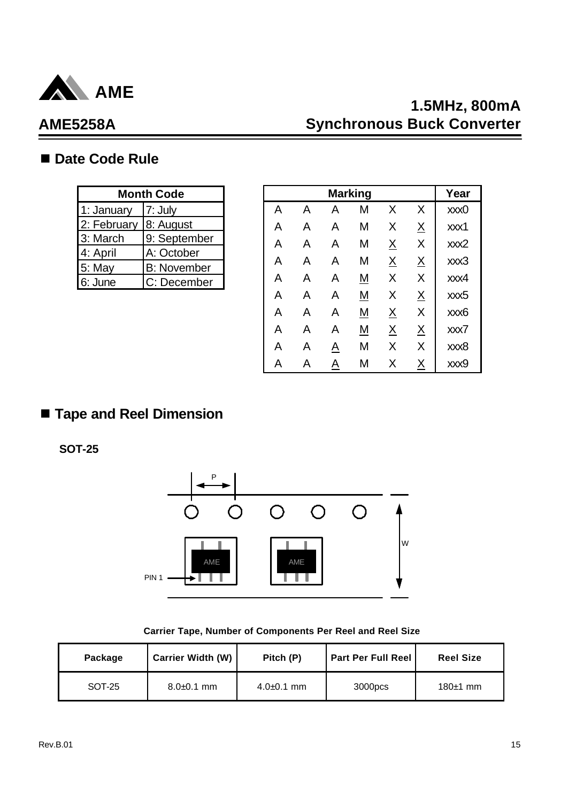

# **1.5MHz, 800mA Synchronous Buck Converter**

### ■ Date Code Rule

| <b>Month Code</b>     |                    |  |  |  |  |
|-----------------------|--------------------|--|--|--|--|
| 1: January            | $ 7:$ July         |  |  |  |  |
| 2: February 8: August |                    |  |  |  |  |
| 3: March              | 9: September       |  |  |  |  |
| 4: April              | A: October         |  |  |  |  |
| $5:$ May              | <b>B:</b> November |  |  |  |  |
| 6: June               | C: December        |  |  |  |  |

|      | <b>Month Code</b>  |   |   |   | <b>Marking</b> |          |                 | Year |
|------|--------------------|---|---|---|----------------|----------|-----------------|------|
| ary  | 7: July            | A | A | Α | Μ              | X        | X               | xxx0 |
| uary | 8: August          | Α | A | A | M              | Χ        | $\underline{X}$ | xxx1 |
| h    | 9: September       | A | A | Α | M              | <u>X</u> | X               | xxx2 |
|      | A: October         | A | A | Α | M              |          |                 | xxx3 |
|      | <b>B:</b> November |   |   |   |                | <u>X</u> | $\underline{X}$ |      |
|      | C: December        | A | A | Α | <u>M</u>       | X        | X               | xxx4 |
|      |                    | A | A | Α | <u>M</u>       | X        | $\underline{X}$ | xxx5 |
|      |                    | A | A | A | <u>М</u>       | <u>X</u> | X               | xxx6 |
|      |                    | A | Α | Α | <u>M</u>       | <u>X</u> | <u>X</u>        | xxx7 |
|      |                    | Α | Α | A | M              | Χ        | X               | xxx8 |
|      |                    | A | A | A | M              | X        | <u>X</u>        | xxx9 |

# n **Tape and Reel Dimension**

**SOT-25**



**Carrier Tape, Number of Components Per Reel and Reel Size**

| Package | <b>Carrier Width (W)</b><br>Pitch (P) |                | <b>Part Per Full Reel</b> | <b>Reel Size</b> |
|---------|---------------------------------------|----------------|---------------------------|------------------|
| SOT-25  | $8.0 + 0.1$ mm                        | $4.0 + 0.1$ mm | 3000 <sub>pcs</sub>       | $180±1$ mm       |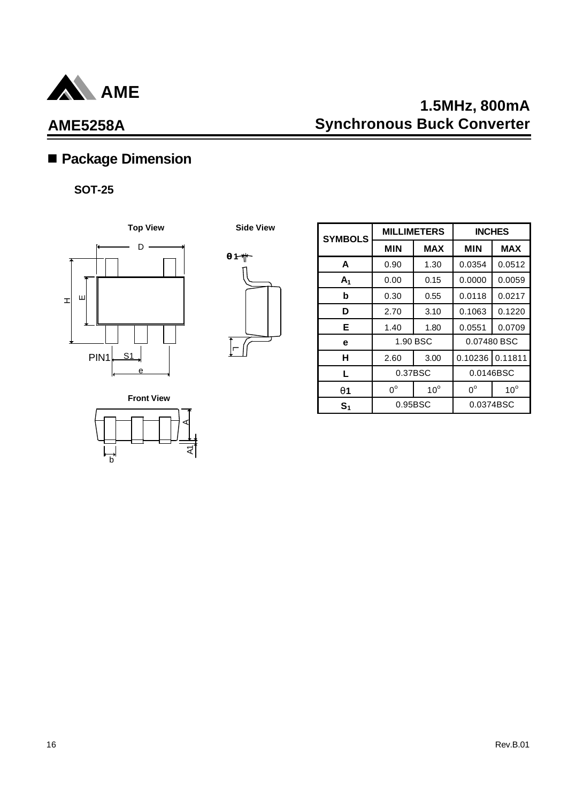

# **1.5MHz, 800mA Synchronous Buck Converter**

# n **Package Dimension**

### **SOT-25**





| <b>SYMBOLS</b> | <b>MILLIMETERS</b> |              | <b>INCHES</b> |              |
|----------------|--------------------|--------------|---------------|--------------|
|                | <b>MIN</b>         | <b>MAX</b>   | <b>MIN</b>    | <b>MAX</b>   |
| A              | 0.90               | 1.30         | 0.0354        | 0.0512       |
| A <sub>1</sub> | 0.00               | 0.15         | 0.0000        | 0.0059       |
| b              | 0.30               | 0.55         | 0.0118        | 0.0217       |
| D              | 2.70               | 3.10         | 0.1063        | 0.1220       |
| Е              | 1.40               | 1.80         | 0.0551        | 0.0709       |
| е              | 1.90 BSC           |              | 0.07480 BSC   |              |
| н              | 2.60               | 3.00         | 0.10236       | 0.11811      |
| L              | 0.37BSC            |              | 0.0146BSC     |              |
| <b>q</b> 1     | $0^{\circ}$        | $10^{\circ}$ | $0^{\circ}$   | $10^{\circ}$ |
| S <sub>1</sub> | 0.95BSC            |              | 0.0374BSC     |              |

**Front View**